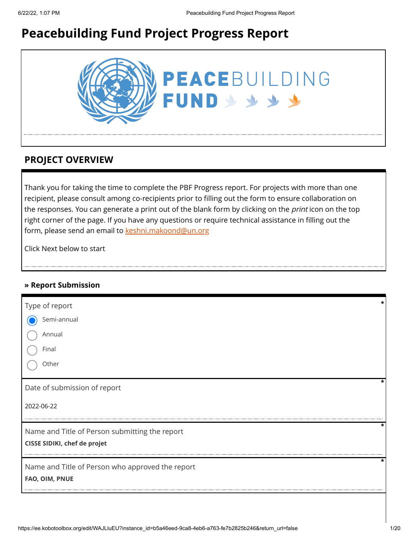# **Peacebuilding Fund Project Progress Report**



## **PROJECT OVERVIEW**

Thank you for taking the time to complete the PBF Progress report. For projects with more than one recipient, please consult among co-recipients prior to filling out the form to ensure collaboration on the responses. You can generate a print out of the blank form by clicking on the *print* icon on the top right corner of the page. If you have any questions or require technical assistance in filling out the form, please send an email to [keshni.makoond@un.org](https://ee.kobotoolbox.org/edit/keshni.makoond@un.org)

Click Next below to start

### **» Report Submission**

| Type of report                                   | * |
|--------------------------------------------------|---|
| Semi-annual                                      |   |
| Annual                                           |   |
| Final                                            |   |
| Other                                            |   |
| Date of submission of report                     | * |
| 2022-06-22                                       |   |
| Name and Title of Person submitting the report   | * |
| CISSE SIDIKI, chef de projet                     |   |
| Name and Title of Person who approved the report | * |
| FAO, OIM, PNUE                                   |   |
|                                                  |   |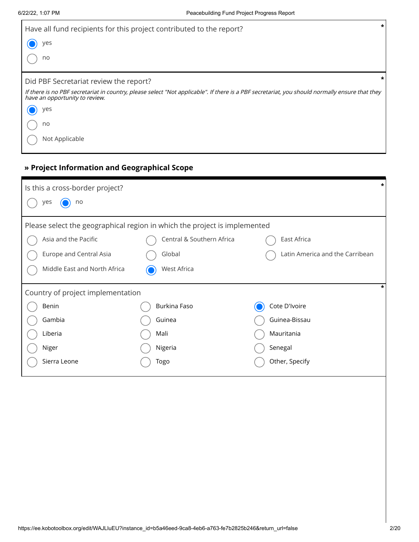| Have all fund recipients for this project contributed to the report?                                                                                                             | $\star$ |
|----------------------------------------------------------------------------------------------------------------------------------------------------------------------------------|---------|
| yes                                                                                                                                                                              |         |
| no                                                                                                                                                                               |         |
| Did PBF Secretariat review the report?                                                                                                                                           |         |
| If there is no PBF secretariat in country, please select "Not applicable". If there is a PBF secretariat, you should normally ensure that they<br>have an opportunity to review. |         |
| yes                                                                                                                                                                              |         |
| no                                                                                                                                                                               |         |
| Not Applicable                                                                                                                                                                   |         |

## **» Project Information and Geographical Scope**

| Is this a cross-border project?                                           |                           | *                               |
|---------------------------------------------------------------------------|---------------------------|---------------------------------|
| no<br>yes                                                                 |                           |                                 |
| Please select the geographical region in which the project is implemented |                           |                                 |
| Asia and the Pacific                                                      | Central & Southern Africa | East Africa                     |
| Europe and Central Asia                                                   | Global                    | Latin America and the Carribean |
| Middle East and North Africa                                              | West Africa               |                                 |
| Country of project implementation                                         |                           |                                 |
| Benin                                                                     | Burkina Faso              | Cote D'Ivoire                   |
| Gambia                                                                    | Guinea                    | Guinea-Bissau                   |
| Liberia                                                                   | Mali                      | Mauritania                      |
| Niger                                                                     | Nigeria                   | Senegal                         |
| Sierra Leone                                                              | Togo                      | Other, Specify                  |
|                                                                           |                           |                                 |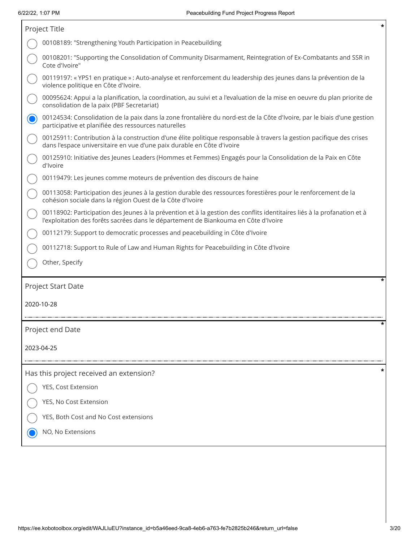$\sqrt{ }$ 

|            | Project Title                                                                                                                                                                                                  |
|------------|----------------------------------------------------------------------------------------------------------------------------------------------------------------------------------------------------------------|
|            | 00108189: "Strengthening Youth Participation in Peacebuilding                                                                                                                                                  |
|            | 00108201: "Supporting the Consolidation of Community Disarmament, Reintegration of Ex-Combatants and SSR in<br>Cote d'Ivoire"                                                                                  |
|            | 00119197: «YPS1 en pratique » : Auto-analyse et renforcement du leadership des jeunes dans la prévention de la<br>violence politique en Côte d'Ivoire.                                                         |
|            | 00095624: Appui a la planification, la coordination, au suivi et a l'evaluation de la mise en oeuvre du plan priorite de<br>consolidation de la paix (PBF Secretariat)                                         |
|            | 00124534: Consolidation de la paix dans la zone frontalière du nord-est de la Côte d'Ivoire, par le biais d'une gestion<br>participative et planifiée des ressources naturelles                                |
|            | 00125911: Contribution à la construction d'une élite politique responsable à travers la gestion pacifique des crises<br>dans l'espace universitaire en vue d'une paix durable en Côte d'ivoire                 |
|            | 00125910: Initiative des Jeunes Leaders (Hommes et Femmes) Engagés pour la Consolidation de la Paix en Côte<br>d'Ivoire                                                                                        |
|            | 00119479: Les jeunes comme moteurs de prévention des discours de haine                                                                                                                                         |
|            | 00113058: Participation des jeunes à la gestion durable des ressources forestières pour le renforcement de la<br>cohésion sociale dans la région Ouest de la Côte d'Ivoire                                     |
|            | 00118902: Participation des Jeunes à la prévention et à la gestion des conflits identitaires liés à la profanation et à<br>l'exploitation des forêts sacrées dans le département de Biankouma en Côte d'Ivoire |
|            | 00112179: Support to democratic processes and peacebuilding in Côte d'Ivoire                                                                                                                                   |
|            | 00112718: Support to Rule of Law and Human Rights for Peacebuilding in Côte d'Ivoire                                                                                                                           |
|            | Other, Specify                                                                                                                                                                                                 |
|            | *<br>Project Start Date                                                                                                                                                                                        |
| 2020-10-28 |                                                                                                                                                                                                                |
|            | *<br>Project end Date                                                                                                                                                                                          |
| 2023-04-25 |                                                                                                                                                                                                                |
|            | Has this project received an extension?                                                                                                                                                                        |
|            | YES, Cost Extension                                                                                                                                                                                            |
|            | YES, No Cost Extension                                                                                                                                                                                         |
|            | YES, Both Cost and No Cost extensions                                                                                                                                                                          |
|            |                                                                                                                                                                                                                |
|            | NO, No Extensions                                                                                                                                                                                              |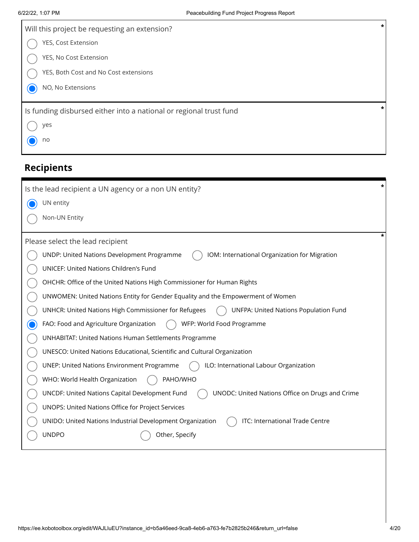| Will this project be requesting an extension?                      | * |
|--------------------------------------------------------------------|---|
| YES, Cost Extension                                                |   |
| YES, No Cost Extension                                             |   |
| YES, Both Cost and No Cost extensions                              |   |
| NO, No Extensions                                                  |   |
| Is funding disbursed either into a national or regional trust fund | * |
| yes                                                                |   |
| no                                                                 |   |
|                                                                    |   |

# **Recipients**

| *<br>Is the lead recipient a UN agency or a non UN entity?                                        |
|---------------------------------------------------------------------------------------------------|
| UN entity                                                                                         |
| Non-UN Entity                                                                                     |
| *                                                                                                 |
| Please select the lead recipient                                                                  |
| UNDP: United Nations Development Programme<br>IOM: International Organization for Migration       |
| UNICEF: United Nations Children's Fund                                                            |
| OHCHR: Office of the United Nations High Commissioner for Human Rights                            |
| UNWOMEN: United Nations Entity for Gender Equality and the Empowerment of Women                   |
| UNHCR: United Nations High Commissioner for Refugees<br>UNFPA: United Nations Population Fund     |
| WFP: World Food Programme<br>FAO: Food and Agriculture Organization                               |
| <b>UNHABITAT: United Nations Human Settlements Programme</b>                                      |
| UNESCO: United Nations Educational, Scientific and Cultural Organization                          |
| ILO: International Labour Organization<br><b>UNEP: United Nations Environment Programme</b>       |
| PAHO/WHO<br>WHO: World Health Organization                                                        |
| UNCDF: United Nations Capital Development Fund<br>UNODC: United Nations Office on Drugs and Crime |
| UNOPS: United Nations Office for Project Services                                                 |
| ITC: International Trade Centre<br>UNIDO: United Nations Industrial Development Organization      |
| <b>UNDPO</b><br>Other, Specify                                                                    |
|                                                                                                   |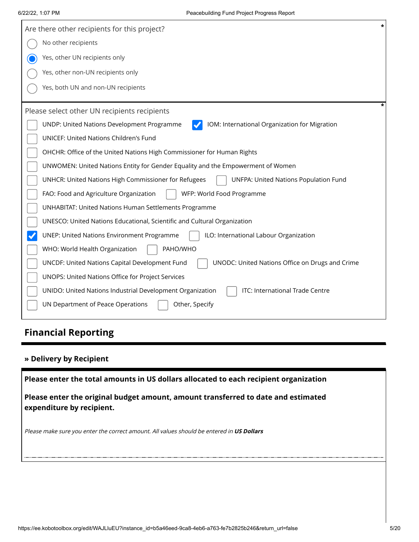| $\star$<br>Are there other recipients for this project?                                                  |
|----------------------------------------------------------------------------------------------------------|
| No other recipients                                                                                      |
| Yes, other UN recipients only                                                                            |
| Yes, other non-UN recipients only                                                                        |
| Yes, both UN and non-UN recipients                                                                       |
| Please select other UN recipients recipients                                                             |
| UNDP: United Nations Development Programme<br>IOM: International Organization for Migration              |
| <b>UNICEF: United Nations Children's Fund</b>                                                            |
| OHCHR: Office of the United Nations High Commissioner for Human Rights                                   |
| UNWOMEN: United Nations Entity for Gender Equality and the Empowerment of Women                          |
| <b>UNFPA: United Nations Population Fund</b><br>UNHCR: United Nations High Commissioner for Refugees     |
| FAO: Food and Agriculture Organization<br>WFP: World Food Programme                                      |
| <b>UNHABITAT: United Nations Human Settlements Programme</b>                                             |
| UNESCO: United Nations Educational, Scientific and Cultural Organization                                 |
| ILO: International Labour Organization<br><b>UNEP: United Nations Environment Programme</b>              |
| PAHO/WHO<br>WHO: World Health Organization                                                               |
| <b>UNCDF: United Nations Capital Development Fund</b><br>UNODC: United Nations Office on Drugs and Crime |
| UNOPS: United Nations Office for Project Services                                                        |
| ITC: International Trade Centre<br>UNIDO: United Nations Industrial Development Organization             |
| UN Department of Peace Operations<br>Other, Specify                                                      |

# **Financial Reporting**

### **» Delivery by Recipient**

**Please enter the total amounts in US dollars allocated to each recipient organization**

**Please enter the original budget amount, amount transferred to date and estimated expenditure by recipient.**

Please make sure you enter the correct amount. All values should be entered in **US Dollars**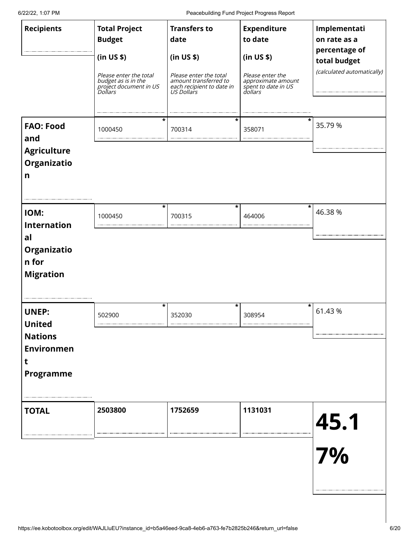6/22/22, 1:07 PM Peacebuilding Fund Project Progress Report

| <b>Recipients</b>                                                                             | <b>Total Project</b><br><b>Budget</b><br>(in US \$)<br>Please enter the total<br>budget as is in the<br>project document in US<br>Dollars | <b>Transfers to</b><br>date<br>(in US \$)<br>Please enter the total<br>amount transferred to<br>each recipient to date in<br>US Dollars | <b>Expenditure</b><br>to date<br>(in US \$)<br>Please enter the<br>approximate amount<br>spent to date in US<br>dollars | Implementati<br>on rate as a<br>percentage of<br>total budget<br>(calculated automatically) |
|-----------------------------------------------------------------------------------------------|-------------------------------------------------------------------------------------------------------------------------------------------|-----------------------------------------------------------------------------------------------------------------------------------------|-------------------------------------------------------------------------------------------------------------------------|---------------------------------------------------------------------------------------------|
| <b>FAO: Food</b><br>and<br><b>Agriculture</b><br>Organizatio<br>n                             | *<br>1000450                                                                                                                              | *<br>700314                                                                                                                             | 358071                                                                                                                  | 35.79 %                                                                                     |
| IOM:<br><b>Internation</b><br>al<br>Organizatio<br>n for<br><b>Migration</b>                  | $\star$<br>1000450                                                                                                                        | *<br>700315                                                                                                                             | *<br>464006                                                                                                             | 46.38 %                                                                                     |
| <b>UNEP:</b><br><b>United</b><br><b>Nations</b><br><b>Environmen</b><br>t<br><b>Programme</b> | $\star$<br>502900                                                                                                                         | *<br>352030                                                                                                                             | *<br>308954                                                                                                             | 61.43%                                                                                      |
| <b>TOTAL</b>                                                                                  | 2503800                                                                                                                                   | 1752659                                                                                                                                 | 1131031                                                                                                                 | 45.1<br>7%                                                                                  |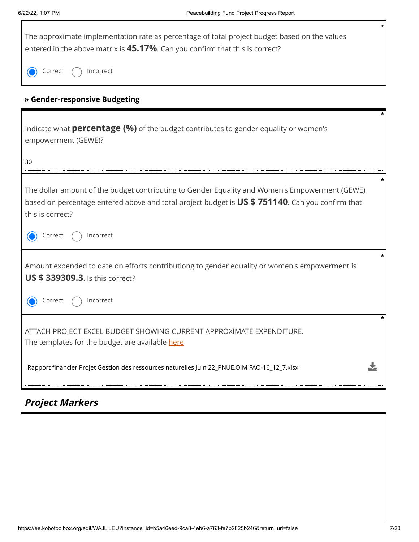Г

| The approximate implementation rate as percentage of total project budget based on the values<br>entered in the above matrix is 45.17%. Can you confirm that this is correct?                                         | * |
|-----------------------------------------------------------------------------------------------------------------------------------------------------------------------------------------------------------------------|---|
| Incorrect<br>Correct                                                                                                                                                                                                  |   |
| » Gender-responsive Budgeting                                                                                                                                                                                         |   |
| Indicate what <b>percentage (%)</b> of the budget contributes to gender equality or women's<br>empowerment (GEWE)?<br>30                                                                                              |   |
| The dollar amount of the budget contributing to Gender Equality and Women's Empowerment (GEWE)<br>based on percentage entered above and total project budget is US \$751140. Can you confirm that<br>this is correct? |   |
| Incorrect<br>Correct                                                                                                                                                                                                  |   |
| Amount expended to date on efforts contributiong to gender equality or women's empowerment is<br><b>US \$ 339309.3.</b> Is this correct?                                                                              |   |
| Incorrect<br>Correct                                                                                                                                                                                                  |   |
| ATTACH PROJECT EXCEL BUDGET SHOWING CURRENT APPROXIMATE EXPENDITURE.<br>The templates for the budget are available here                                                                                               |   |
| Rapport financier Projet Gestion des ressources naturelles Juin 22_PNUE.OIM FAO-16_12_7.xlsx                                                                                                                          |   |

# **Project Markers**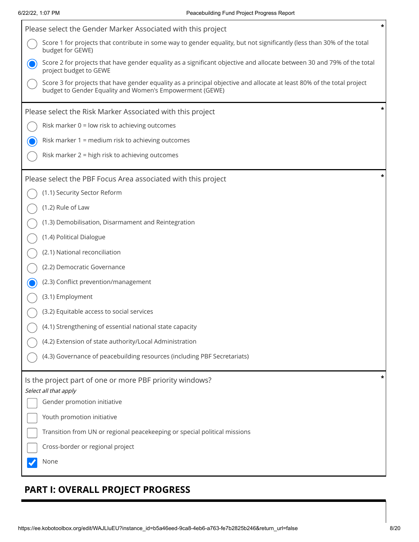Г

| Please select the Gender Marker Associated with this project                                                                                                                       | * |
|------------------------------------------------------------------------------------------------------------------------------------------------------------------------------------|---|
| Score 1 for projects that contribute in some way to gender equality, but not significantly (less than 30% of the total<br>budget for GEWE)                                         |   |
| Score 2 for projects that have gender equality as a significant objective and allocate between 30 and 79% of the total<br>project budget to GEWE                                   |   |
| Score 3 for projects that have gender equality as a principal objective and allocate at least 80% of the total project<br>budget to Gender Equality and Women's Empowerment (GEWE) |   |
| Please select the Risk Marker Associated with this project                                                                                                                         | * |
| Risk marker 0 = low risk to achieving outcomes                                                                                                                                     |   |
| Risk marker 1 = medium risk to achieving outcomes                                                                                                                                  |   |
| Risk marker 2 = high risk to achieving outcomes                                                                                                                                    |   |
| Please select the PBF Focus Area associated with this project                                                                                                                      | * |
| (1.1) Security Sector Reform                                                                                                                                                       |   |
| (1.2) Rule of Law                                                                                                                                                                  |   |
| (1.3) Demobilisation, Disarmament and Reintegration                                                                                                                                |   |
| (1.4) Political Dialogue                                                                                                                                                           |   |
| (2.1) National reconciliation                                                                                                                                                      |   |
| (2.2) Democratic Governance                                                                                                                                                        |   |
| (2.3) Conflict prevention/management                                                                                                                                               |   |
| (3.1) Employment                                                                                                                                                                   |   |
| (3.2) Equitable access to social services                                                                                                                                          |   |
| (4.1) Strengthening of essential national state capacity                                                                                                                           |   |
| (4.2) Extension of state authority/Local Administration                                                                                                                            |   |
| (4.3) Governance of peacebuilding resources (including PBF Secretariats)                                                                                                           |   |
| Is the project part of one or more PBF priority windows?                                                                                                                           | * |
| Select all that apply<br>Gender promotion initiative                                                                                                                               |   |
| Youth promotion initiative                                                                                                                                                         |   |
| Transition from UN or regional peacekeeping or special political missions                                                                                                          |   |
| Cross-border or regional project                                                                                                                                                   |   |
| None                                                                                                                                                                               |   |
|                                                                                                                                                                                    |   |

# **PART I: OVERALL PROJECT PROGRESS**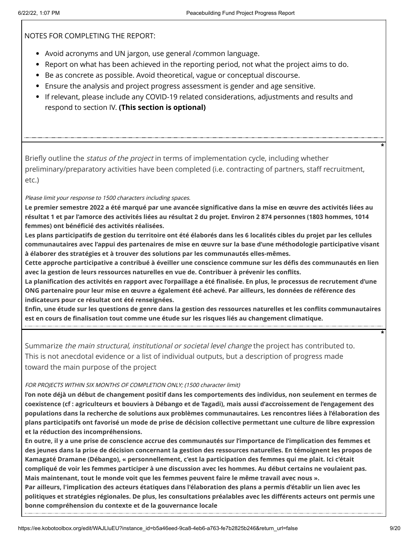NOTES FOR COMPLETING THE REPORT:

- Avoid acronyms and UN jargon, use general /common language.
- Report on what has been achieved in the reporting period, not what the project aims to do.
- **Be as concrete as possible. Avoid theoretical, vague or conceptual discourse.**
- Ensure the analysis and project progress assessment is gender and age sensitive.
- If relevant, please include any COVID-19 related considerations, adjustments and results and respond to section IV. **(This section is optional)**

Briefly outline the *status of the project* in terms of implementation cycle, including whether preliminary/preparatory activities have been completed (i.e. contracting of partners, staff recruitment, etc.)

Please limit your response to 1500 characters including spaces.

**Le premier semestre 2022 a été marqué par une avancée significative dans la mise en œuvre des activités liées au résultat 1 et par l'amorce des activités liées au résultat 2 du projet. Environ 2 874 personnes (1803 hommes, 1014 femmes) ont bénéficié des activités réalisées.**

**Les plans participatifs de gestion du territoire ont été élaborés dans les 6 localités cibles du projet par les cellules communautaires avec l'appui des partenaires de mise en œuvre sur la base d'une méthodologie participative visant à élaborer des stratégies et à trouver des solutions par les communautés elles-mêmes.**

**Cette approche participative a contribué à éveiller une conscience commune sur les défis des communautés en lien avec la gestion de leurs ressources naturelles en vue de. Contribuer à prévenir les conflits.** 

**La planification des activités en rapport avec l'orpaillage a été finalisée. En plus, le processus de recrutement d'une ONG partenaire pour leur mise en œuvre a également été achevé. Par ailleurs, les données de référence des indicateurs pour ce résultat ont été renseignées.**

**Enfin, une étude sur les questions de genre dans la gestion des ressources naturelles et les conflits communautaires est en cours de finalisation tout comme une étude sur les risques liés au changement climatique.**

Summarize the main structural, institutional or societal level change the project has contributed to. This is not anecdotal evidence or a list of individual outputs, but a description of progress made toward the main purpose of the project

#### FOR PROJECTS WITHIN SIX MONTHS OF COMPLETION ONLY; (1500 character limit)

**l'on note déjà un début de changement positif dans les comportements des individus, non seulement en termes de coexistence (cf : agriculteurs et bouviers à Débango et de Tagadi), mais aussi d'accroissement de l'engagement des populations dans la recherche de solutions aux problèmes communautaires. Les rencontres liées à l'élaboration des plans participatifs ont favorisé un mode de prise de décision collective permettant une culture de libre expression et la réduction des incompréhensions.** 

**En outre, il y a une prise de conscience accrue des communautés sur l'importance de l'implication des femmes et des jeunes dans la prise de décision concernant la gestion des ressources naturelles. En témoignent les propos de Kamagaté Dramane (Débango), « personnellement, c'est la participation des femmes qui me plait. Ici c'était compliqué de voir les femmes participer à une discussion avec les hommes. Au début certains ne voulaient pas. Mais maintenant, tout le monde voit que les femmes peuvent faire le même travail avec nous ».** 

**Par ailleurs, l'implication des acteurs étatiques dans l'élaboration des plans a permis d'établir un lien avec les politiques et stratégies régionales. De plus, les consultations préalables avec les différents acteurs ont permis une bonne compréhension du contexte et de la gouvernance locale**

**\***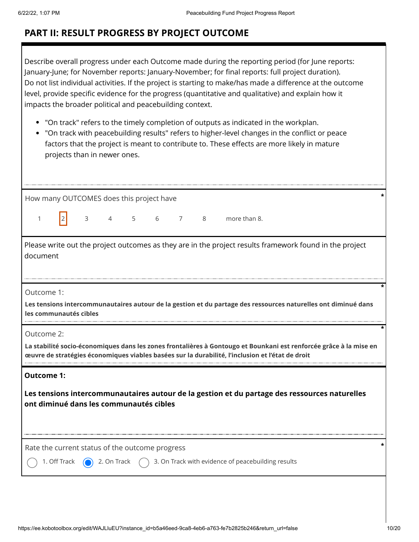## **PART II: RESULT PROGRESS BY PROJECT OUTCOME**

Describe overall progress under each Outcome made during the reporting period (for June reports: January-June; for November reports: January-November; for final reports: full project duration). Do not list individual activities. If the project is starting to make/has made a difference at the outcome level, provide specific evidence for the progress (quantitative and qualitative) and explain how it impacts the broader political and peacebuilding context.

- "On track" refers to the timely completion of outputs as indicated in the workplan.
- "On track with peacebuilding results" refers to higher-level changes in the conflict or peace factors that the project is meant to contribute to. These effects are more likely in mature projects than in newer ones.

| How many OUTCOMES does this project have                                                                                                                                                                                             |  |  |  |  |  |  |
|--------------------------------------------------------------------------------------------------------------------------------------------------------------------------------------------------------------------------------------|--|--|--|--|--|--|
| 3 4 5 6 7 8 more than 8.<br>21<br>1                                                                                                                                                                                                  |  |  |  |  |  |  |
| Please write out the project outcomes as they are in the project results framework found in the project<br>document                                                                                                                  |  |  |  |  |  |  |
| Outcome 1:<br>Les tensions intercommunautaires autour de la gestion et du partage des ressources naturelles ont diminué dans<br>les communautés cibles                                                                               |  |  |  |  |  |  |
| Outcome 2:<br>La stabilité socio-économiques dans les zones frontalières à Gontougo et Bounkani est renforcée grâce à la mise en<br>œuvre de stratégies économiques viables basées sur la durabilité, l'inclusion et l'état de droit |  |  |  |  |  |  |
| <b>Outcome 1:</b>                                                                                                                                                                                                                    |  |  |  |  |  |  |
| Les tensions intercommunautaires autour de la gestion et du partage des ressources naturelles<br>ont diminué dans les communautés cibles                                                                                             |  |  |  |  |  |  |
| Rate the current status of the outcome progress                                                                                                                                                                                      |  |  |  |  |  |  |
| 3. On Track with evidence of peacebuilding results<br>1. Off Track<br>2. On Track                                                                                                                                                    |  |  |  |  |  |  |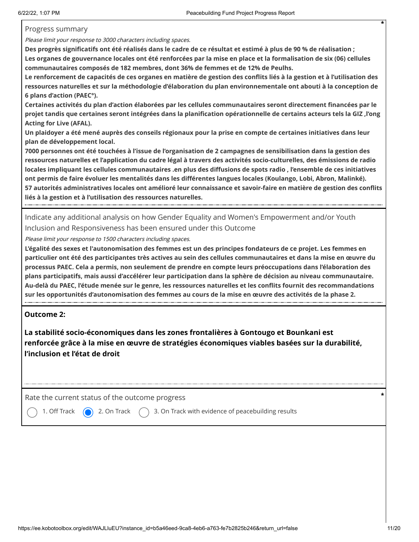Progress summary

Please limit your response to 3000 characters including spaces.

**Des progrès significatifs ont été réalisés dans le cadre de ce résultat et estimé à plus de 90 % de réalisation ; Les organes de gouvernance locales ont été renforcées par la mise en place et la formalisation de six (06) cellules communautaires composés de 182 membres, dont 36% de femmes et de 12% de Peulhs.** 

**Le renforcement de capacités de ces organes en matière de gestion des conflits liés à la gestion et à l'utilisation des ressources naturelles et sur la méthodologie d'élaboration du plan environnementale ont abouti à la conception de 6 plans d'action (PAEC°).**

**Certaines activités du plan d'action élaborées par les cellules communautaires seront directement financées par le projet tandis que certaines seront intégrées dans la planification opérationnelle de certains acteurs tels la GIZ ,l'ong Acting for Live (AFAL).**

**Un plaidoyer a été mené auprès des conseils régionaux pour la prise en compte de certaines initiatives dans leur plan de développement local.**

**7000 personnes ont été touchées à l'issue de l'organisation de 2 campagnes de sensibilisation dans la gestion des ressources naturelles et l'application du cadre légal à travers des activités socio-culturelles, des émissions de radio locales impliquant les cellules communautaires .en plus des diffusions de spots radio , l'ensemble de ces initiatives ont permis de faire évoluer les mentalités dans les différentes langues locales (Koulango, Lobi, Abron, Malinké). 57 autorités administratives locales ont amélioré leur connaissance et savoir-faire en matière de gestion des conflits liés à la gestion et à l'utilisation des ressources naturelles.**

Indicate any additional analysis on how Gender Equality and Women's Empowerment and/or Youth Inclusion and Responsiveness has been ensured under this Outcome

Please limit your response to 1500 characters including spaces.

**L'égalité des sexes et l'autonomisation des femmes est un des principes fondateurs de ce projet. Les femmes en particulier ont été des participantes très actives au sein des cellules communautaires et dans la mise en œuvre du processus PAEC. Cela a permis, non seulement de prendre en compte leurs préoccupations dans l'élaboration des plans participatifs, mais aussi d'accélérer leur participation dans la sphère de décision au niveau communautaire. Au-delà du PAEC, l'étude menée sur le genre, les ressources naturelles et les conflits fournit des recommandations sur les opportunités d'autonomisation des femmes au cours de la mise en œuvre des activités de la phase 2.**

### **Outcome 2:**

**La stabilité socio-économiques dans les zones frontalières à Gontougo et Bounkani est renforcée grâce à la mise en œuvre de stratégies économiques viables basées sur la durabilité, l'inclusion et l'état de droit**

Rate the current status of the outcome progress **\***

1. Off Track  $\bigcirc$  2. On Track  $\bigcirc$  3. On Track with evidence of peacebuilding results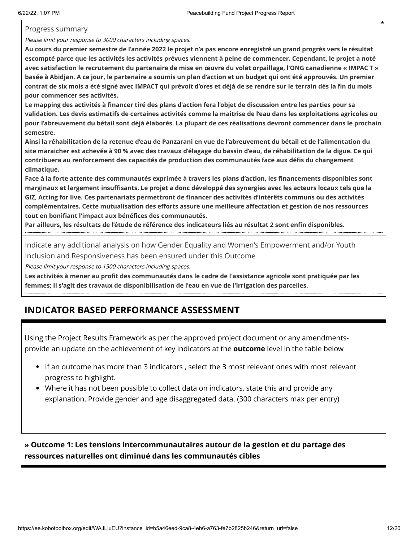Progress summary

Please limit your response to 3000 characters including spaces.

**Au cours du premier semestre de l'année 2022 le projet n'a pas encore enregistré un grand progrès vers le résultat escompté parce que les activités les activités prévues viennent à peine de commencer. Cependant, le projet a noté avec satisfaction le recrutement du partenaire de mise en œuvre du volet orpaillage, l'ONG canadienne « IMPAC T » basée à Abidjan. A ce jour, le partenaire a soumis un plan d'action et un budget qui ont été approuvés. Un premier contrat de six mois a été signé avec IMPACT qui prévoit d'ores et déjà de se rendre sur le terrain dès la fin du mois pour commencer ses activités.**

**Le mapping des activités à financer tiré des plans d'action fera l'objet de discussion entre les parties pour sa validation. Les devis estimatifs de certaines activités comme la maitrise de l'eau dans les exploitations agricoles ou pour l'abreuvement du bétail sont déjà élaborés. La plupart de ces réalisations devront commencer dans le prochain semestre.**

**Ainsi la réhabilitation de la retenue d'eau de Panzarani en vue de l'abreuvement du bétail et de l'alimentation du site maraicher est achevée à 90 % avec des travaux d'élagage du bassin d'eau, de réhabilitation de la digue. Ce qui contribuera au renforcement des capacités de production des communautés face aux défis du changement climatique.**

**Face à la forte attente des communautés exprimée à travers les plans d'action, les financements disponibles sont marginaux et largement insuffisants. Le projet a donc développé des synergies avec les acteurs locaux tels que la GIZ, Acting for live. Ces partenariats permettront de financer des activités d'intérêts communs ou des activités complémentaires. Cette mutualisation des efforts assure une meilleure affectation et gestion de nos ressources tout en bonifiant l'impact aux bénéfices des communautés.** 

**Par ailleurs, les résultats de l'étude de référence des indicateurs liés au résultat 2 sont enfin disponibles.**

Indicate any additional analysis on how Gender Equality and Women's Empowerment and/or Youth Inclusion and Responsiveness has been ensured under this Outcome

Please limit your response to 1500 characters including spaces.

**Les activités à mener au profit des communautés dans le cadre de l'assistance agricole sont pratiquée par les femmes; Il s'agit des travaux de disponibilisation de l'eau en vue de l'irrigation des parcelles.**

### **INDICATOR BASED PERFORMANCE ASSESSMENT**

Using the Project Results Framework as per the approved project document or any amendmentsprovide an update on the achievement of key indicators at the **outcome** level in the table below

- If an outcome has more than 3 indicators , select the 3 most relevant ones with most relevant progress to highlight.
- Where it has not been possible to collect data on indicators, state this and provide any explanation. Provide gender and age disaggregated data. (300 characters max per entry)

**» Outcome 1: Les tensions intercommunautaires autour de la gestion et du partage des ressources naturelles ont diminué dans les communautés cibles**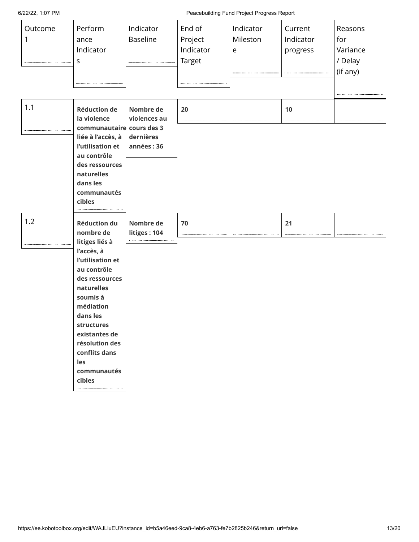6/22/22, 1:07 PM Peacebuilding Fund Project Progress Report

| Outcome<br>1 | Perform<br>ance<br>Indicator<br>s                                                                                                                                                                                                                                          | Indicator<br>Baseline                                | End of<br>Project<br>Indicator<br><b>Target</b> | Indicator<br>Mileston<br>$\mathsf e$ | Current<br>Indicator<br>progress | Reasons<br>for<br>Variance<br>/ Delay<br>(if any) |
|--------------|----------------------------------------------------------------------------------------------------------------------------------------------------------------------------------------------------------------------------------------------------------------------------|------------------------------------------------------|-------------------------------------------------|--------------------------------------|----------------------------------|---------------------------------------------------|
| 1.1          | <b>Réduction de</b><br>la violence<br>communautaire cours des 3<br>liée à l'accès, à<br>l'utilisation et<br>au contrôle<br>des ressources<br>naturelles<br>dans les<br>communautés<br>cibles                                                                               | Nombre de<br>violences au<br>dernières<br>années: 36 | 20                                              |                                      | 10                               |                                                   |
| 1.2          | <b>Réduction du</b><br>nombre de<br>litiges liés à<br>l'accès, à<br>l'utilisation et<br>au contrôle<br>des ressources<br>naturelles<br>soumis à<br>médiation<br>dans les<br>structures<br>existantes de<br>résolution des<br>conflits dans<br>les<br>communautés<br>cibles | Nombre de<br>litiges: 104                            | 70                                              |                                      | 21                               |                                                   |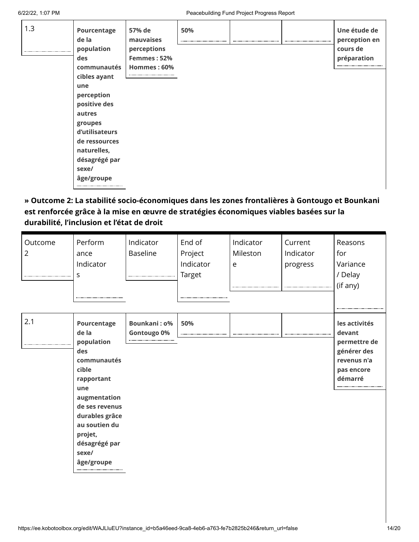| 1.3 | Pourcentage<br>de la<br>population<br>des<br>communautés | 57% de<br>mauvaises<br>perceptions<br>Femmes: 52%<br>Hommes: 60% | 50%<br> |  | Une étude de<br>perception en<br>cours de<br>préparation |
|-----|----------------------------------------------------------|------------------------------------------------------------------|---------|--|----------------------------------------------------------|
|     | cibles ayant                                             |                                                                  |         |  |                                                          |
|     | une<br>perception                                        |                                                                  |         |  |                                                          |
|     | positive des                                             |                                                                  |         |  |                                                          |
|     | autres                                                   |                                                                  |         |  |                                                          |
|     | groupes                                                  |                                                                  |         |  |                                                          |
|     | d'utilisateurs                                           |                                                                  |         |  |                                                          |
|     | de ressources                                            |                                                                  |         |  |                                                          |
|     | naturelles,                                              |                                                                  |         |  |                                                          |
|     | désagrégé par                                            |                                                                  |         |  |                                                          |
|     | sexe/                                                    |                                                                  |         |  |                                                          |
|     | âge/groupe                                               |                                                                  |         |  |                                                          |
|     |                                                          |                                                                  |         |  |                                                          |

### **» Outcome 2: La stabilité socio-économiques dans les zones frontalières à Gontougo et Bounkani est renforcée grâce à la mise en œuvre de stratégies économiques viables basées sur la durabilité, l'inclusion et l'état de droit**

| Outcome<br>$\overline{2}$ | Perform<br>ance<br>Indicator<br>S                                                                                                                                                       | Indicator<br><b>Baseline</b>       | End of<br>Project<br>Indicator<br><b>Target</b> | Indicator<br>Mileston<br>e | Current<br>Indicator<br>progress | Reasons<br>for<br>Variance<br>/ Delay<br>(if any)                                              |
|---------------------------|-----------------------------------------------------------------------------------------------------------------------------------------------------------------------------------------|------------------------------------|-------------------------------------------------|----------------------------|----------------------------------|------------------------------------------------------------------------------------------------|
| 2.1                       | Pourcentage<br>de la<br>population<br>des<br>communautés<br>cible<br>rapportant<br>une<br>augmentation<br>de ses revenus<br>durables grâce<br>au soutien du<br>projet,<br>désagrégé par | <b>Bounkani: 0%</b><br>Gontougo 0% | 50%                                             |                            |                                  | les activités<br>devant<br>permettre de<br>générer des<br>revenus n'a<br>pas encore<br>démarré |
|                           | sexe/<br>âge/groupe                                                                                                                                                                     |                                    |                                                 |                            |                                  |                                                                                                |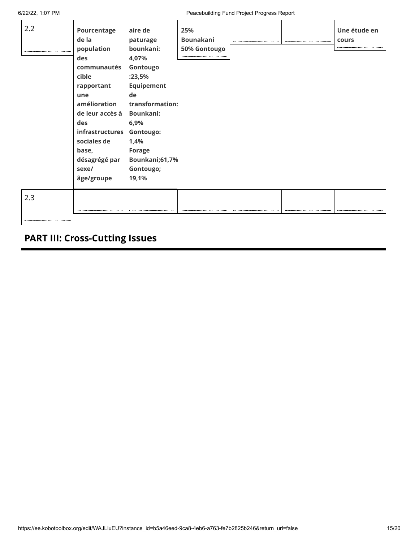6/22/22, 1:07 PM Peacebuilding Fund Project Progress Report

| 2.2 | Pourcentage<br>de la<br>population<br>des<br>communautés<br>cible              | aire de<br>paturage<br>bounkani:<br>4,07%<br>Gontougo<br>:23,5%                     | 25%<br><b>Bounakani</b><br>50% Gontougo |  | Une étude en<br>cours |
|-----|--------------------------------------------------------------------------------|-------------------------------------------------------------------------------------|-----------------------------------------|--|-----------------------|
|     | rapportant<br>une<br>amélioration<br>de leur accès à<br>des<br>infrastructures | <b>Equipement</b><br>de<br>transformation:<br><b>Bounkani:</b><br>6,9%<br>Gontougo: |                                         |  |                       |
|     | sociales de<br>base,<br>désagrégé par<br>sexe/<br>âge/groupe                   | 1,4%<br><b>Forage</b><br>Bounkani;61,7%<br>Gontougo;<br>19,1%                       |                                         |  |                       |
| 2.3 |                                                                                |                                                                                     |                                         |  |                       |

# **PART III: Cross-Cutting Issues**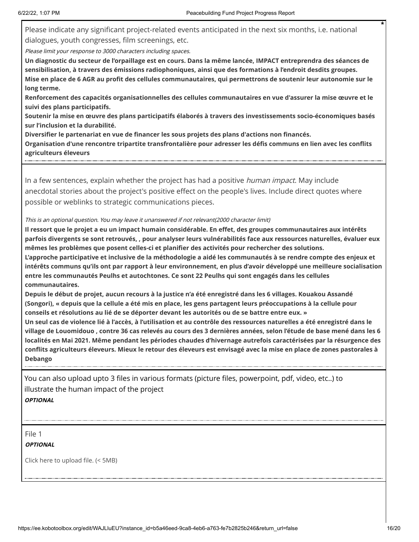Please indicate any significant project-related events anticipated in the next six months, i.e. national dialogues, youth congresses, film screenings, etc.

Please limit your response to 3000 characters including spaces.

**Un diagnostic du secteur de l'orpaillage est en cours. Dans la même lancée, IMPACT entreprendra des séances de sensibilisation, à travers des émissions radiophoniques, ainsi que des formations à l'endroit desdits groupes. Mise en place de 6 AGR au profit des cellules communautaires, qui permettrons de soutenir leur autonomie sur le long terme.** 

**Renforcement des capacités organisationnelles des cellules communautaires en vue d'assurer la mise œuvre et le suivi des plans participatifs.**

**Soutenir la mise en œuvre des plans participatifs élaborés à travers des investissements socio-économiques basés sur l'inclusion et la durabilité.**

**Diversifier le partenariat en vue de financer les sous projets des plans d'actions non financés.** 

**Organisation d'une rencontre tripartite transfrontalière pour adresser les défis communs en lien avec les conflits agriculteurs éleveurs**

In a few sentences, explain whether the project has had a positive *human impact*. May include anecdotal stories about the project's positive effect on the people's lives. Include direct quotes where possible or weblinks to strategic communications pieces.

#### This is an optional question. You may leave it unanswered if not relevant(2000 character limit)

**Il ressort que le projet a eu un impact humain considérable. En effet, des groupes communautaires aux intérêts parfois divergents se sont retrouvés, , pour analyser leurs vulnérabilités face aux ressources naturelles, évaluer eux mêmes les problèmes que posent celles-ci et planifier des activités pour rechercher des solutions.**

**L'approche participative et inclusive de la méthodologie a aidé les communautés à se rendre compte des enjeux et intérêts communs qu'ils ont par rapport à leur environnement, en plus d'avoir développé une meilleure socialisation entre les communautés Peulhs et autochtones. Ce sont 22 Peulhs qui sont engagés dans les cellules communautaires.**

**Depuis le début de projet, aucun recours à la justice n'a été enregistré dans les 6 villages. Kouakou Assandé (Songori), « depuis que la cellule a été mis en place, les gens partagent leurs préoccupations à la cellule pour conseils et résolutions au lié de se déporter devant les autorités ou de se battre entre eux. »**

**Un seul cas de violence lié à l'accès, à l'utilisation et au contrôle des ressources naturelles a été enregistré dans le village de Louomidouo , contre 36 cas relevés au cours des 3 dernières années, selon l'étude de base mené dans les 6 localités en Mai 2021. Même pendant les périodes chaudes d'hivernage autrefois caractérisées par la résurgence des conflits agriculteurs éleveurs. Mieux le retour des éleveurs est envisagé avec la mise en place de zones pastorales à Debango**

You can also upload upto 3 files in various formats (picture files, powerpoint, pdf, video, etc..) to illustrate the human impact of the project **OPTIONAL**

File 1 **OPTIONAL**

Click here to upload file. (< 5MB)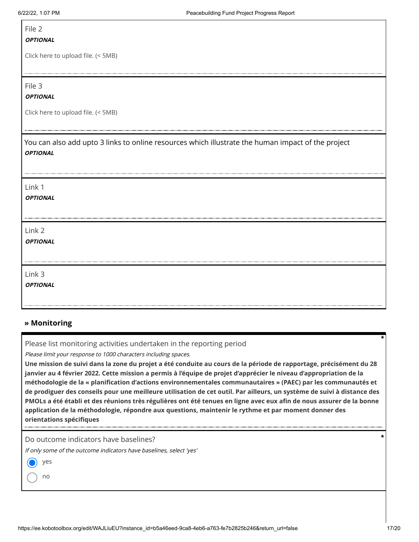## File 2

#### **OPTIONAL**

Click here to upload file. (< 5MB)

File 3

#### **OPTIONAL**

Click here to upload file. (< 5MB)

You can also add upto 3 links to online resources which illustrate the human impact of the project **OPTIONAL**

| Link 1<br><b>OPTIONAL</b> |  |
|---------------------------|--|
| Link 2<br><b>OPTIONAL</b> |  |
| Link 3<br><b>OPTIONAL</b> |  |

#### **» Monitoring**

Please list monitoring activities undertaken in the reporting period

Please limit your response to 1000 characters including spaces.

**Une mission de suivi dans la zone du projet a été conduite au cours de la période de rapportage, précisément du 28 janvier au 4 février 2022. Cette mission a permis à l'équipe de projet d'apprécier le niveau d'appropriation de la méthodologie de la « planification d'actions environnementales communautaires » (PAEC) par les communautés et de prodiguer des conseils pour une meilleure utilisation de cet outil. Par ailleurs, un système de suivi à distance des PMOLs a été établi et des réunions très régulières ont été tenues en ligne avec eux afin de nous assurer de la bonne application de la méthodologie, répondre aux questions, maintenir le rythme et par moment donner des orientations spécifiques**

Do outcome indicators have baselines?

If only some of the outcome indicators have baselines, select 'yes'

|  | $\sim$<br>$\sim$ |
|--|------------------|
|--|------------------|

no

**\***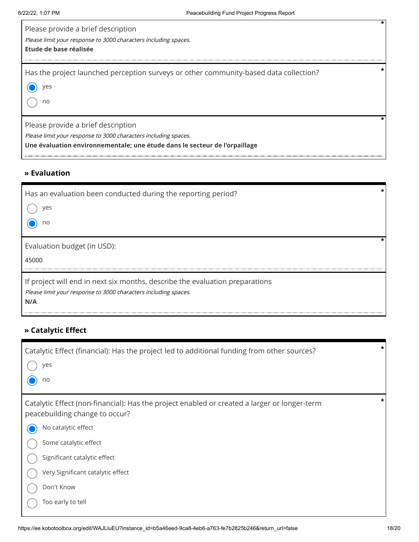| Please provide a brief description<br>Please limit your response to 3000 characters including spaces.<br>Etude de base réalisée                                                     |  |
|-------------------------------------------------------------------------------------------------------------------------------------------------------------------------------------|--|
| Has the project launched perception surveys or other community-based data collection?<br>ves<br>no                                                                                  |  |
| Please provide a brief description<br>Please limit your response to 3000 characters including spaces.<br>Une évaluation environnementale; une étude dans le secteur de l'orpaillage |  |

### **» Evaluation**

| Has an evaluation been conducted during the reporting period?<br>ves<br>no                                                                             |  |
|--------------------------------------------------------------------------------------------------------------------------------------------------------|--|
| Evaluation budget (in USD):<br>45000                                                                                                                   |  |
| If project will end in next six months, describe the evaluation preparations<br>Please limit your response to 3000 characters including spaces.<br>N/A |  |

### **» Catalytic Effect**

| Catalytic Effect (financial): Has the project led to additional funding from other sources?<br>yes                             | $\ast$ |
|--------------------------------------------------------------------------------------------------------------------------------|--------|
| no                                                                                                                             |        |
| Catalytic Effect (non-financial): Has the project enabled or created a larger or longer-term<br>peacebuilding change to occur? |        |
| No catalytic effect                                                                                                            |        |
| Some catalytic effect                                                                                                          |        |
| Significant catalytic effect                                                                                                   |        |
| Very Significant catalytic effect                                                                                              |        |
| Don't Know                                                                                                                     |        |
| Too early to tell                                                                                                              |        |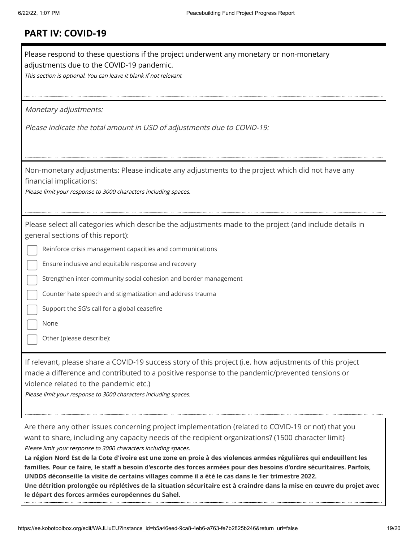| Please respond to these questions if the project underwent any monetary or non-monetary<br>adjustments due to the COVID-19 pandemic.<br>This section is optional. You can leave it blank if not relevant                                                                                                                                                                                                                                                                                                                                                                                                                                                                                                                                                                                                          |
|-------------------------------------------------------------------------------------------------------------------------------------------------------------------------------------------------------------------------------------------------------------------------------------------------------------------------------------------------------------------------------------------------------------------------------------------------------------------------------------------------------------------------------------------------------------------------------------------------------------------------------------------------------------------------------------------------------------------------------------------------------------------------------------------------------------------|
| Monetary adjustments:                                                                                                                                                                                                                                                                                                                                                                                                                                                                                                                                                                                                                                                                                                                                                                                             |
| Please indicate the total amount in USD of adjustments due to COVID-19:                                                                                                                                                                                                                                                                                                                                                                                                                                                                                                                                                                                                                                                                                                                                           |
| Non-monetary adjustments: Please indicate any adjustments to the project which did not have any<br>financial implications:<br>Please limit your response to 3000 characters including spaces.                                                                                                                                                                                                                                                                                                                                                                                                                                                                                                                                                                                                                     |
| Please select all categories which describe the adjustments made to the project (and include details in<br>general sections of this report):<br>Reinforce crisis management capacities and communications<br>Ensure inclusive and equitable response and recovery<br>Strengthen inter-community social cohesion and border management<br>Counter hate speech and stigmatization and address trauma<br>Support the SG's call for a global ceasefire<br>None<br>Other (please describe):<br>If relevant, please share a COVID-19 success story of this project (i.e. how adjustments of this project<br>made a difference and contributed to a positive response to the pandemic/prevented tensions or<br>violence related to the pandemic etc.)<br>Please limit your response to 3000 characters including spaces. |
|                                                                                                                                                                                                                                                                                                                                                                                                                                                                                                                                                                                                                                                                                                                                                                                                                   |
| Are there any other issues concerning project implementation (related to COVID-19 or not) that you<br>want to share, including any capacity needs of the recipient organizations? (1500 character limit)<br>Please limit your response to 3000 characters including spaces.<br>La région Nord Est de la Cote d'ivoire est une zone en proie à des violences armées régulières qui endeuillent les<br>familles. Pour ce faire, le staff a besoin d'escorte des forces armées pour des besoins d'ordre sécuritaires. Parfois,<br>UNDDS déconseille la visite de certains villages comme il a été le cas dans le 1er trimestre 2022.<br>Une détrition prolongée ou réplétives de la situation sécuritaire est à craindre dans la mise en œuvre du projet avec<br>le départ des forces armées européennes du Sahel.   |